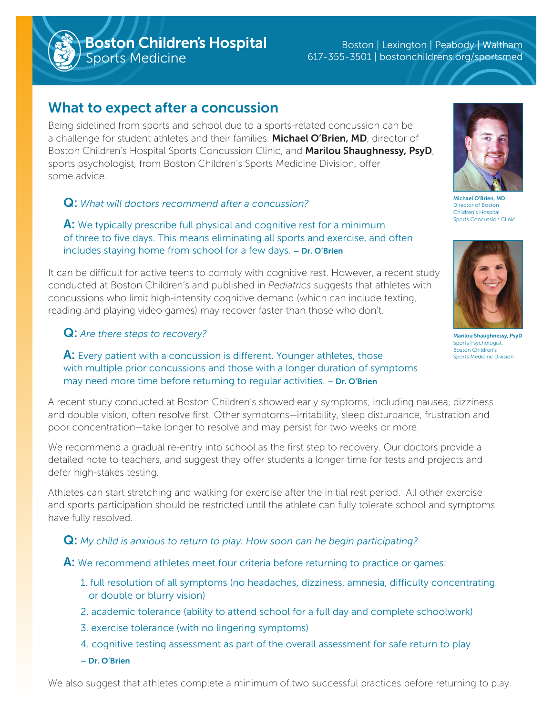**Boston Children's Hospital**<br>Sports Medicine

Boston | Lexington | Peabody | Waltham 617-355-3501 | bostonchildrens.org/sportsmed

# What to expect after a concussion

Being sidelined from sports and school due to a sports-related concussion can be a challenge for student athletes and their families. Michael O'Brien, MD, director of Boston Children's Hospital Sports Concussion Clinic, and Marilou Shaughnessy, PsyD, sports psychologist, from Boston Children's Sports Medicine Division, offer some advice.

# Q: *What will doctors recommend after a concussion?*

A: We typically prescribe full physical and cognitive rest for a minimum of three to five days. This means eliminating all sports and exercise, and often includes staying home from school for a few days. – Dr. O'Brien

It can be difficult for active teens to comply with cognitive rest. However, a recent study conducted at Boston Children's and published in *Pediatrics* suggests that athletes with concussions who limit high-intensity cognitive demand (which can include texting, reading and playing video games) may recover faster than those who don't.

## Q: *Are there steps to recovery?*

**A:** Every patient with a concussion is different. Younger athletes, those with multiple prior concussions and those with a longer duration of symptoms may need more time before returning to regular activities. - Dr. O'Brien

A recent study conducted at Boston Children's showed early symptoms, including nausea, dizziness and double vision, often resolve first. Other symptoms—irritability, sleep disturbance, frustration and poor concentration—take longer to resolve and may persist for two weeks or more.

We recommend a gradual re-entry into school as the first step to recovery. Our doctors provide a detailed note to teachers, and suggest they offer students a longer time for tests and projects and defer high-stakes testing.

Athletes can start stretching and walking for exercise after the initial rest period. All other exercise and sports participation should be restricted until the athlete can fully tolerate school and symptoms have fully resolved.

Q: *My child is anxious to return to play. How soon can he begin participating?*

- A: We recommend athletes meet four criteria before returning to practice or games:
	- 1. full resolution of all symptoms (no headaches, dizziness, amnesia, difficulty concentrating or double or blurry vision)
	- 2. academic tolerance (ability to attend school for a full day and complete schoolwork)
	- 3. exercise tolerance (with no lingering symptoms)
	- 4. cognitive testing assessment as part of the overall assessment for safe return to play
	- Dr. O'Brien

We also suggest that athletes complete a minimum of two successful practices before returning to play.



Director of Bosto Children's Hospital Sports Concussion Clinic



Marilou Shaughnessy, PsyD Sports Psychologist, Boston Children's Sports Medicine Division